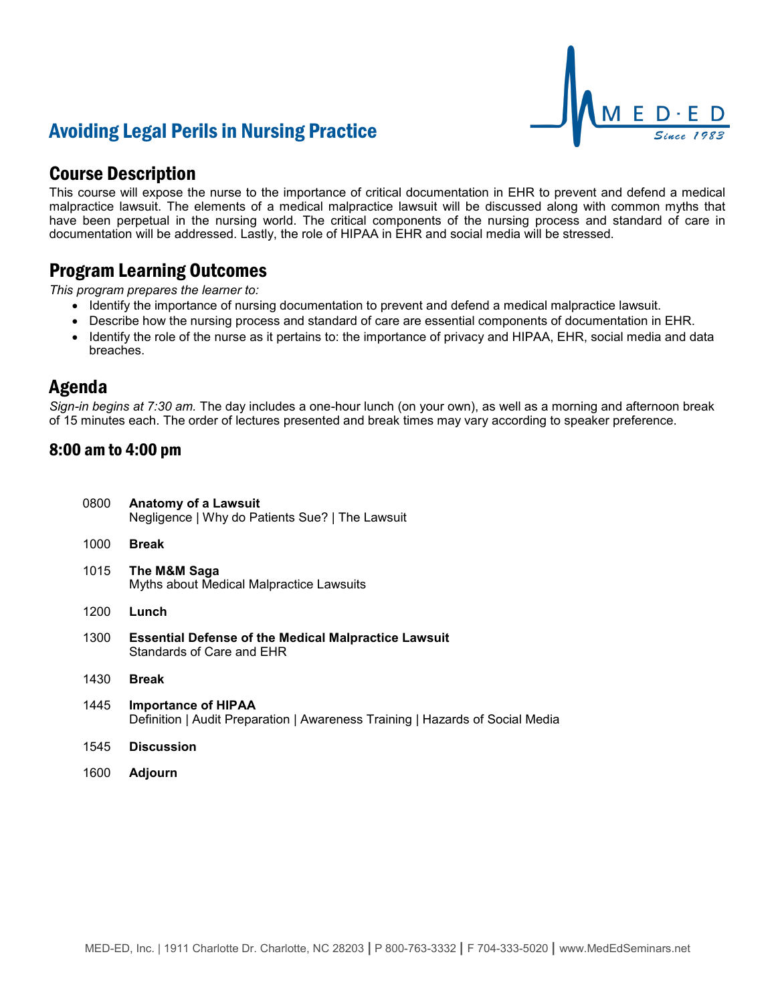# Avoiding Legal Perils in Nursing Practice



### Course Description

This course will expose the nurse to the importance of critical documentation in EHR to prevent and defend a medical malpractice lawsuit. The elements of a medical malpractice lawsuit will be discussed along with common myths that have been perpetual in the nursing world. The critical components of the nursing process and standard of care in documentation will be addressed. Lastly, the role of HIPAA in EHR and social media will be stressed.

### Program Learning Outcomes

*This program prepares the learner to:*

- Identify the importance of nursing documentation to prevent and defend a medical malpractice lawsuit.
- Describe how the nursing process and standard of care are essential components of documentation in EHR.
- Identify the role of the nurse as it pertains to: the importance of privacy and HIPAA, EHR, social media and data breaches.

### Agenda

*Sign-in begins at 7:30 am.* The day includes a one-hour lunch (on your own), as well as a morning and afternoon break of 15 minutes each. The order of lectures presented and break times may vary according to speaker preference.

#### 8:00 am to 4:00 pm

| 0800 | <b>Anatomy of a Lawsuit</b><br>Negligence   Why do Patients Sue?   The Lawsuit                              |
|------|-------------------------------------------------------------------------------------------------------------|
| 1000 | <b>Break</b>                                                                                                |
| 1015 | The M&M Saga<br>Myths about Medical Malpractice Lawsuits                                                    |
| 1200 | Lunch                                                                                                       |
| 1300 | <b>Essential Defense of the Medical Malpractice Lawsuit</b><br>Standards of Care and EHR                    |
| 1430 | <b>Break</b>                                                                                                |
| 1445 | <b>Importance of HIPAA</b><br>Definition   Audit Preparation   Awareness Training   Hazards of Social Media |
| 1545 | <b>Discussion</b>                                                                                           |
| 1600 | Adiourn                                                                                                     |